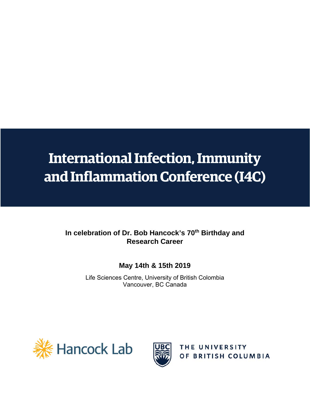## **International Infection, Immunity and Inflammation Conference (I4C)**

### In celebration of Dr. Bob Hancock's 70<sup>th</sup> Birthday and **Research Career**

### **May 14th & 15th 2019**

Life Sciences Centre, University of British Colombia Vancouver, BC Canada





THE UNIVERSITY OF BRITISH COLUMBIA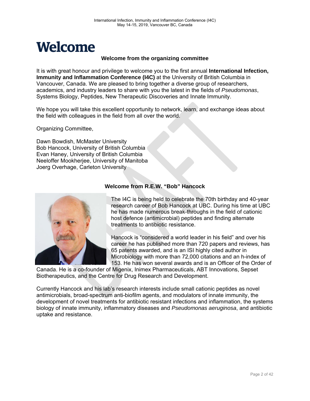

#### **Welcome from the organizing committee**

It is with great honour and privilege to welcome you to the first annual **International Infection, Immunity and Inflammation Conference (I4C)** at the University of British Columbia in Vancouver, Canada. We are pleased to bring together a diverse group of researchers, academics, and industry leaders to share with you the latest in the fields of *Pseudomonas*, Systems Biology, Peptides, New Therapeutic Discoveries and Innate Immunity.

We hope you will take this excellent opportunity to network, learn, and exchange ideas about the field with colleagues in the field from all over the world.

Organizing Committee,

Dawn Bowdish, McMaster University Bob Hancock, University of British Columbia Evan Haney, University of British Columbia Neeloffer Mookherjee, University of Manitoba Joerg Overhage, Carleton University



### **Welcome from R.E.W. "Bob" Hancock**

The I4C is being held to celebrate the 70th birthday and 40-year research career of Bob Hancock at UBC. During his time at UBC he has made numerous break-throughs in the field of cationic host defence (antimicrobial) peptides and finding alternate treatments to antibiotic resistance.

Hancock is "considered a world leader in his field" and over his career he has published more than 720 papers and reviews, has 65 patents awarded, and is an ISI highly cited author in Microbiology with more than 72,000 citations and an h-index of 153. He has won several awards and is an Officer of the Order of

Canada. He is a co-founder of Migenix, Inimex Pharmaceuticals, ABT Innovations, Sepset Biotherapeutics, and the Centre for Drug Research and Development.

Currently Hancock and his lab's research interests include small cationic peptides as novel antimicrobials, broad-spectrum anti-biofilm agents, and modulators of innate immunity, the development of novel treatments for antibiotic resistant infections and inflammation, the systems biology of innate immunity, inflammatory diseases and *Pseudomonas aeruginosa*, and antibiotic uptake and resistance.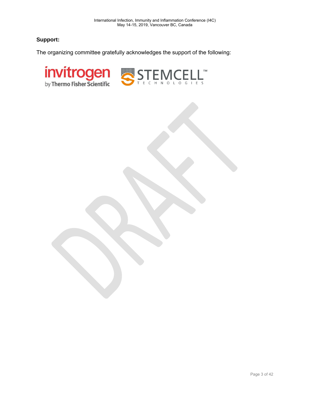### **Support:**

The organizing committee gratefully acknowledges the support of the following:

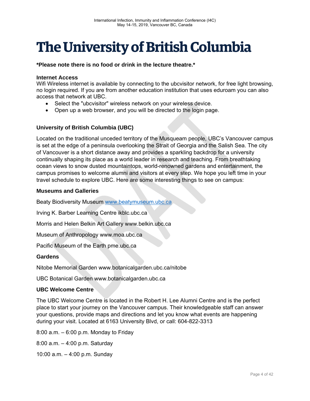## **The University of British Columbia**

**\*Please note there is no food or drink in the lecture theatre.\*** 

#### **Internet Access**

Wifi Wireless internet is available by connecting to the ubcvisitor network, for free light browsing, no login required. If you are from another education institution that uses eduroam you can also access that network at UBC.

- Select the "ubcvisitor" wireless network on your wireless device.
- Open up a web browser, and you will be directed to the login page.

### **University of British Columbia (UBC)**

Located on the traditional unceded territory of the Musqueam people, UBC's Vancouver campus is set at the edge of a peninsula overlooking the Strait of Georgia and the Salish Sea. The city of Vancouver is a short distance away and provides a sparkling backdrop for a university continually shaping its place as a world leader in research and teaching. From breathtaking ocean views to snow dusted mountaintops, world-renowned gardens and entertainment, the campus promises to welcome alumni and visitors at every step. We hope you left time in your travel schedule to explore UBC. Here are some interesting things to see on campus:

#### **Museums and Galleries**

Beaty Biodiversity Museum www.beatymuseum.ubc.ca

Irving K. Barber Learning Centre ikblc.ubc.ca

Morris and Helen Belkin Art Gallery www.belkin.ubc.ca

Museum of Anthropology www.moa.ubc.ca

Pacific Museum of the Earth pme.ubc.ca

#### **Gardens**

Nitobe Memorial Garden www.botanicalgarden.ubc.ca/nitobe

UBC Botanical Garden www.botanicalgarden.ubc.ca

#### **UBC Welcome Centre**

The UBC Welcome Centre is located in the Robert H. Lee Alumni Centre and is the perfect place to start your journey on the Vancouver campus. Their knowledgeable staff can answer your questions, provide maps and directions and let you know what events are happening during your visit. Located at 6163 University Blvd, or call: 604-822-3313

8:00 a.m. – 6:00 p.m. Monday to Friday

8:00 a.m. – 4:00 p.m. Saturday

10:00 a.m. – 4:00 p.m. Sunday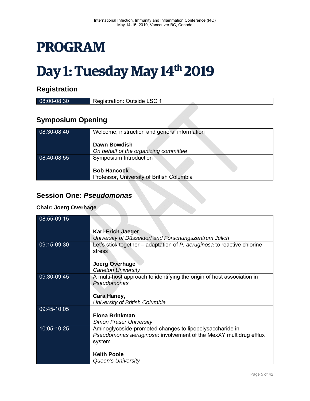## **PROGRAM**

# Day 1: Tuesday May 14<sup>th</sup> 2019

### **Registration**

| 08:00-08:30              | Registration: Outside LSC 1 |  |
|--------------------------|-----------------------------|--|
|                          |                             |  |
| <b>Symposium Opening</b> |                             |  |

| 08:30-08:40 | Welcome, instruction and general information |
|-------------|----------------------------------------------|
|             | Dawn Bowdish                                 |
|             |                                              |
|             | On behalf of the organizing committee        |
| 08:40-08:55 | Symposium Introduction                       |
|             |                                              |
|             | <b>Bob Hancock</b>                           |
|             | Professor, University of British Columbia    |

### **Session One:** *Pseudomonas*

### **Chair: Joerg Overhage**

| <b>Session One: Pseudomonas</b> |                                                                                                                                                                      |  |  |  |
|---------------------------------|----------------------------------------------------------------------------------------------------------------------------------------------------------------------|--|--|--|
| <b>Chair: Joerg Overhage</b>    |                                                                                                                                                                      |  |  |  |
| 08:55-09:15                     |                                                                                                                                                                      |  |  |  |
|                                 | <b>Karl-Erich Jaeger</b><br>University of Düsseldorf and Forschungszentrum Jülich                                                                                    |  |  |  |
| 09:15-09:30                     | Let's stick together – adaptation of $P$ . aeruginosa to reactive chlorine<br>stress<br><b>Joerg Overhage</b>                                                        |  |  |  |
| 09:30-09:45                     | <b>Carleton University</b><br>A multi-host approach to identifying the origin of host association in<br>Pseudomonas<br>Cara Haney,<br>University of British Columbia |  |  |  |
| 09:45-10:05                     | <b>Fiona Brinkman</b><br><b>Simon Fraser University</b>                                                                                                              |  |  |  |
| 10:05-10:25                     | Aminoglycoside-promoted changes to lipopolysaccharide in<br>Pseudomonas aeruginosa: involvement of the MexXY multidrug efflux<br>system                              |  |  |  |
|                                 | <b>Keith Poole</b><br><b>Queen's University</b>                                                                                                                      |  |  |  |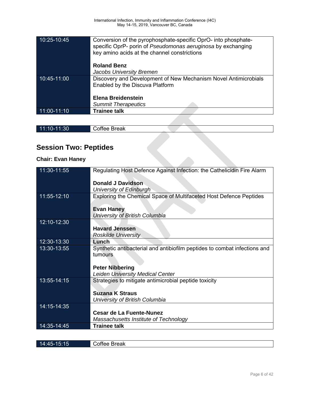| 11:00-11:10 | <b>Trainee talk</b>                                             |
|-------------|-----------------------------------------------------------------|
|             | <b>Summit Therapeutics</b>                                      |
|             | Elena Breidenstein                                              |
|             |                                                                 |
|             | Enabled by the Discuva Platform                                 |
| 10:45-11:00 | Discovery and Development of New Mechanism Novel Antimicrobials |
|             | Jacobs University Bremen                                        |
|             |                                                                 |
|             | <b>Roland Benz</b>                                              |
|             |                                                                 |
|             | key amino acids at the channel constrictions                    |
|             | specific OprP- porin of Pseudomonas aeruginosa by exchanging    |
| 10:25-10:45 | Conversion of the pyrophosphate-specific OprO- into phosphate-  |

| 11:10-11:30                  | Coffee Break |  |  |
|------------------------------|--------------|--|--|
|                              |              |  |  |
| <b>Session Two: Peptides</b> |              |  |  |
| <b>Chair: Evan Haney</b>     |              |  |  |
|                              |              |  |  |

### **Session Two: Peptides**

### **Chair: Evan Haney**

| 11:30-11:55 | Regulating Host Defence Against Infection: the Cathelicidin Fire Alarm    |
|-------------|---------------------------------------------------------------------------|
|             | <b>Donald J Davidson</b>                                                  |
|             | University of Edinburgh                                                   |
| 11:55-12:10 | Exploring the Chemical Space of Multifaceted Host Defence Peptides        |
|             |                                                                           |
|             | <b>Evan Haney</b>                                                         |
|             | University of British Columbia                                            |
| 12:10-12:30 |                                                                           |
|             | <b>Havard Jenssen</b>                                                     |
|             | <b>Roskilde University</b>                                                |
| 12:30-13:30 | Lunch                                                                     |
| 13:30-13:55 | Synthetic antibacterial and antibiofilm peptides to combat infections and |
|             | tumours                                                                   |
|             |                                                                           |
|             | <b>Peter Nibbering</b>                                                    |
|             | <b>Leiden University Medical Center</b>                                   |
| 13:55-14:15 | Strategies to mitigate antimicrobial peptide toxicity                     |
|             |                                                                           |
|             | <b>Suzana K Straus</b>                                                    |
|             | University of British Columbia                                            |
| 14:15-14:35 |                                                                           |
|             | <b>Cesar de La Fuente-Nunez</b>                                           |
|             | Massachusetts Institute of Technology                                     |
| 14:35-14:45 | <b>Trainee talk</b>                                                       |
|             |                                                                           |
|             |                                                                           |

14:45-15:15 Coffee Break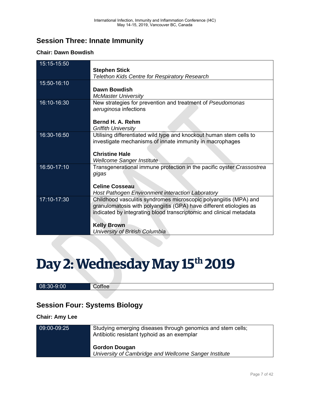### **Session Three: Innate Immunity**

### **Chair: Dawn Bowdish**

| 15:15-15:50 |                                                                       |
|-------------|-----------------------------------------------------------------------|
|             | <b>Stephen Stick</b>                                                  |
|             | <b>Telethon Kids Centre for Respiratory Research</b>                  |
| 15:50-16:10 |                                                                       |
|             | Dawn Bowdish                                                          |
|             | <b>McMaster University</b>                                            |
| 16:10-16:30 | New strategies for prevention and treatment of Pseudomonas            |
|             | aeruginosa infections                                                 |
|             |                                                                       |
|             | Bernd H. A. Rehm                                                      |
|             | <b>Griffith University</b>                                            |
| 16:30-16:50 | Utilising differentiated wild type and knockout human stem cells to   |
|             | investigate mechanisms of innate immunity in macrophages              |
|             |                                                                       |
|             | <b>Christine Hale</b>                                                 |
|             | <b>Wellcome Sanger Institute</b>                                      |
| 16:50-17:10 | Transgenerational immune protection in the pacific oyster Crassostrea |
|             | gigas                                                                 |
|             |                                                                       |
|             | <b>Celine Cosseau</b>                                                 |
|             | <b>Host Pathogen Environment interaction Laboratory</b>               |
| 17:10-17:30 | Childhood vasculitis syndromes microscopic polyangiitis (MPA) and     |
|             | granulomatosis with polyangiitis (GPA) have different etiologies as   |
|             | indicated by integrating blood transcriptomic and clinical metadata   |
|             |                                                                       |
|             | <b>Kelly Brown</b>                                                    |
|             | University of British Columbia                                        |

# Day 2: Wednesday May 15<sup>th</sup> 2019

#### 08:30-9:00 Coffee

### **Session Four: Systems Biology**

#### **Chair: Amy Lee**

| 09:00-09:25 | Studying emerging diseases through genomics and stem cells;<br>Antibiotic resistant typhoid as an exemplar |
|-------------|------------------------------------------------------------------------------------------------------------|
|             | <b>Gordon Dougan</b><br>University of Cambridge and Wellcome Sanger Institute                              |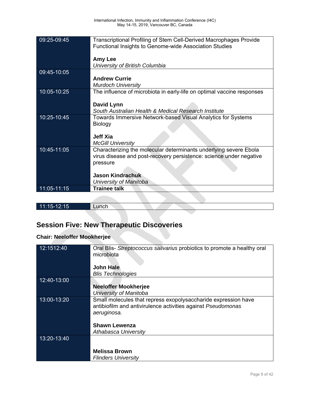| 09:25-09:45 | <b>Transcriptional Profiling of Stem Cell-Derived Macrophages Provide</b><br>Functional Insights to Genome-wide Association Studies<br>Amy Lee<br>University of British Columbia                          |
|-------------|-----------------------------------------------------------------------------------------------------------------------------------------------------------------------------------------------------------|
| 09:45-10:05 | <b>Andrew Currie</b><br><b>Murdoch University</b>                                                                                                                                                         |
| 10:05-10:25 | The influence of microbiota in early-life on optimal vaccine responses<br><b>David Lynn</b><br>South Australian Health & Medical Research Institute                                                       |
| 10:25-10:45 | Towards Immersive Network-based Visual Analytics for Systems<br>Biology<br><b>Jeff Xia</b><br><b>McGill University</b>                                                                                    |
| 10:45-11:05 | Characterizing the molecular determinants underlying severe Ebola<br>virus disease and post-recovery persistence: science under negative<br>pressure<br><b>Jason Kindrachuk</b><br>University of Manitoba |
| 11:05-11:15 | <b>Trainee talk</b>                                                                                                                                                                                       |
|             |                                                                                                                                                                                                           |

|                   |       |  | ___________                                                                                                             |                             |  |  |
|-------------------|-------|--|-------------------------------------------------------------------------------------------------------------------------|-----------------------------|--|--|
| 11<br>-12:15<br>. | Lunch |  | ______<br>______<br>_____<br><b>Contract Contract</b><br><b>Contract Contract</b><br>the property of the control of the | ______<br><b>TELEVISION</b> |  |  |
|                   |       |  | ___________                                                                                                             |                             |  |  |

## **Session Five: New Therapeutic Discoveries**

### **Chair: Neeloffer Mookherjee**

| 12:1512:40  | Oral Blis- Streptococcus salivarius probiotics to promote a healthy oral<br>microbiota                                                        |
|-------------|-----------------------------------------------------------------------------------------------------------------------------------------------|
|             | <b>John Hale</b>                                                                                                                              |
|             | <b>Blis Technologies</b>                                                                                                                      |
| 12:40-13:00 |                                                                                                                                               |
|             | <b>Neeloffer Mookherjee</b>                                                                                                                   |
|             | University of Manitoba                                                                                                                        |
| 13:00-13:20 | Small molecules that repress exopolysaccharide expression have<br>antibiofilm and antivirulence activities against Pseudomonas<br>aeruginosa. |
|             | <b>Shawn Lewenza</b>                                                                                                                          |
|             | Athabasca University                                                                                                                          |
| 13:20-13:40 |                                                                                                                                               |
|             | <b>Melissa Brown</b>                                                                                                                          |
|             | <b>Flinders University</b>                                                                                                                    |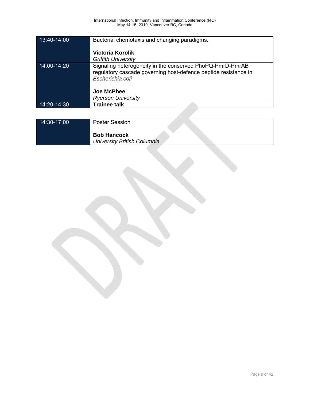| 13:40-14:00     | Bacterial chemotaxis and changing paradigms.<br>Victoria Korolik<br><b>Griffith University</b>                                                   |
|-----------------|--------------------------------------------------------------------------------------------------------------------------------------------------|
| $14:00 - 14:20$ | Signaling heterogeneity in the conserved PhoPQ-PmrD-PmrAB<br>regulatory cascade governing host-defence peptide resistance in<br>Escherichia coli |
|                 | <b>Joe McPhee</b>                                                                                                                                |
|                 | <b>Ryerson University</b>                                                                                                                        |
| 14:20-14:30     | <b>Trainee talk</b>                                                                                                                              |
|                 |                                                                                                                                                  |

| 14:30-17:00 | <b>Poster Session</b>                             |
|-------------|---------------------------------------------------|
|             | <b>Bob Hancock</b><br>University British Columbia |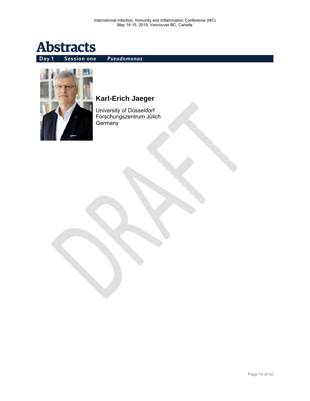

**Day 1 Session one** *Pseudomonas*



### **Karl-Erich Jaeger**

University of Düsseldorf Forschungszentrum Jülich Germany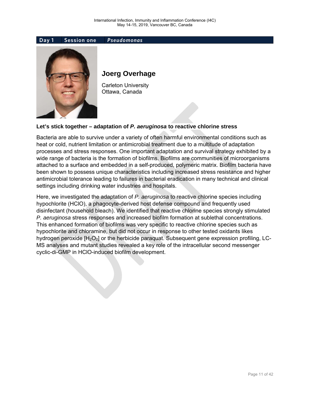



### **Joerg Overhage**

Carleton University Ottawa, Canada

### **Let's stick together – adaptation of** *P. aeruginosa* **to reactive chlorine stress**

Bacteria are able to survive under a variety of often harmful environmental conditions such as heat or cold, nutrient limitation or antimicrobial treatment due to a multitude of adaptation processes and stress responses. One important adaptation and survival strategy exhibited by a wide range of bacteria is the formation of biofilms. Biofilms are communities of microorganisms attached to a surface and embedded in a self-produced, polymeric matrix. Biofilm bacteria have been shown to possess unique characteristics including increased stress resistance and higher antimicrobial tolerance leading to failures in bacterial eradication in many technical and clinical settings including drinking water industries and hospitals.

Here, we investigated the adaptation of *P. aeruginosa* to reactive chlorine species including hypochlorite (HClO), a phagocyte-derived host defense compound and frequently used disinfectant (household bleach). We identified that reactive chlorine species strongly stimulated *P. aeruginosa* stress responses and increased biofilm formation at sublethal concentrations. This enhanced formation of biofilms was very specific to reactive chlorine species such as hypochlorite and chloramine, but did not occur in response to other tested oxidants likes hydrogen peroxide  $[H_2O_2]$  or the herbicide paraquat. Subsequent gene expression profiling, LC-MS analyses and mutant studies revealed a key role of the intracellular second messenger cyclic-di-GMP in HClO-induced biofilm development.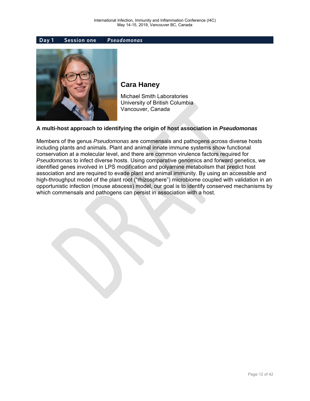**Day 1 Session one** *Pseudomonas*



### **Cara Haney**

Michael Smith Laboratories University of British Columbia Vancouver, Canada

#### **A multi-host approach to identifying the origin of host association in** *Pseudomonas*

Members of the genus *Pseudomonas* are commensals and pathogens across diverse hosts including plants and animals. Plant and animal innate immune systems show functional conservation at a molecular level, and there are common virulence factors required for *Pseudomonas* to infect diverse hosts. Using comparative genomics and forward genetics, we identified genes involved in LPS modification and polyamine metabolism that predict host association and are required to evade plant and animal immunity. By using an accessible and high-throughput model of the plant root ("rhizosphere") microbiome coupled with validation in an opportunistic infection (mouse abscess) model, our goal is to identify conserved mechanisms by which commensals and pathogens can persist in association with a host.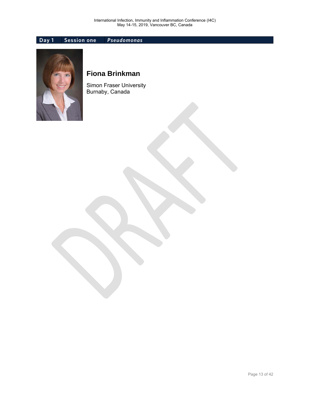### **Day 1 Session one** *Pseudomonas*



### **Fiona Brinkman**

Simon Fraser University Burnaby, Canada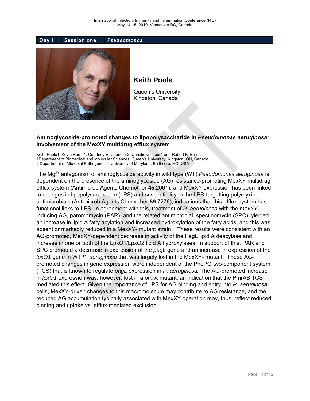



### **Keith Poole**

Queen's University Kingston, Canada

### **Aminoglycoside-promoted changes to lipopolysaccharide in** *Pseudomonas aeruginosa:* **involvement of the MexXY multidrug efflux system**

Keith Poole1, Kevin Rome1, Courtney E. Chandler2, Christie Gilmour1 and Robert K. Ernst2 1Department of Biomedical and Molecular Sciences, Queen's University, Kingston, ON, Canada 2 Department of Microbial Pathogenesis, University of Maryland, Baltimore, MD, USA

The Mg2+ antagonism of aminoglycoside activity in wild type (WT) *Pseudomonas aeruginosa* is dependent on the presence of the aminoglycoside (AG) resistance-promoting MexXY multidrug efflux system (Antimicrob Agents Chemother **45**:2001), and MexXY expression has been linked to changes in lipopolysaccharide (LPS) and susceptibility to the LPS-targetting polymyxin antimicrobials (Antimicrob Agents Chemother **59**:7276), indications that this efflux system has functional links to LPS. In agreement with this, treatment of *P. aeruginosa* with the *mexXY*inducing AG, paromomycin (PAR), and the related antimicrobial, spectinomycin (SPC), yielded an increase in lipid A fatty acylation and increased hydroxylation of the fatty acids, and this was absent or markedly reduced in a MexXY- mutant strain. These results were consistent with an AG-promoted, MexXY-dependent decrease in activity of the PagL lipid A deacylase and increase in one or both of the LpxO1/LpxO2 lipid A hydroxylases. In support of this, PAR and SPC promoted a decrease in expression of the *pagL* gene and an increase in expression of the *lpxO1* gene in WT *P. aeruginosa* that was largely lost in the MexXY- mutant. These AGpromoted changes in gene expression were independent of the PhoPQ two-component system (TCS) that is known to regulate *pagL* expression in *P. aeruginosa.* The AG-promoted increase in *lpxO1* expression was, however, lost in a *pmrA* mutant, an indication that the PmrAB TCS mediated this effect. Given the importance of LPS for AG binding and entry into *P. aeruginosa*  cells, MexXY-driven changes to this macromolecule may contribute to AG resistance, and the reduced AG accumulation typically associated with MexXY operation may, thus, reflect reduced binding and uptake vs. efflux-mediated exclusion.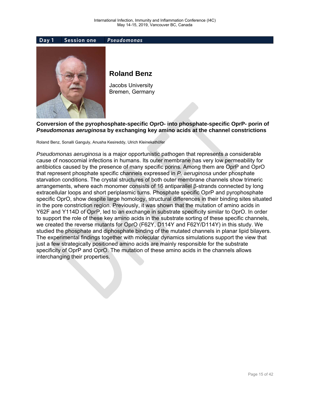

**Conversion of the pyrophosphate-specific OprO- into phosphate-specific OprP- porin of**  *Pseudomonas aeruginosa* **by exchanging key amino acids at the channel constrictions** 

Roland Benz, Sonalli Ganguly, Anusha Kesireddy, Ulrich Kleinekathöfer

*Pseudomonas aeruginosa* is a major opportunistic pathogen that represents a considerable cause of nosocomial infections in humans. Its outer membrane has very low permeability for antibiotics caused by the presence of many specific porins. Among them are OprP and OprO that represent phosphate specific channels expressed in *P. aeruginosa* under phosphate starvation conditions. The crystal structures of both outer membrane channels show trimeric arrangements, where each monomer consists of 16 antiparallel β-strands connected by long extracellular loops and short periplasmic turns. Phosphate specific OprP and pyrophosphate specific OprO, show despite large homology, structural differences in their binding sites situated in the pore constriction region. Previously, it was shown that the mutation of amino acids in Y62F and Y114D of OprP, led to an exchange in substrate specificity similar to OprO. In order to support the role of these key amino acids in the substrate sorting of these specific channels, we created the reverse mutants for OprO (F62Y, D114Y and F62Y/D114Y) in this study. We studied the phosphate and diphosphate binding of the mutated channels in planar lipid bilayers. The experimental findings together with molecular dynamics simulations support the view that just a few strategically positioned amino acids are mainly responsible for the substrate specificity of OprP and OprO. The mutation of these amino acids in the channels allows interchanging their properties.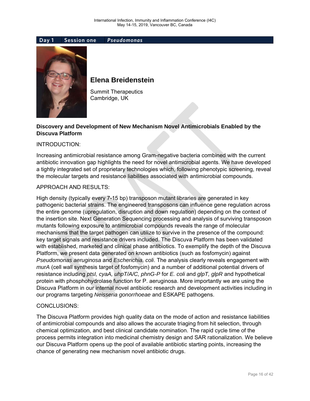



### **Elena Breidenstein**

Summit Therapeutics Cambridge, UK

### **Discovery and Development of New Mechanism Novel Antimicrobials Enabled by the Discuva Platform**

#### INTRODUCTION:

Increasing antimicrobial resistance among Gram-negative bacteria combined with the current antibiotic innovation gap highlights the need for novel antimicrobial agents. We have developed a tightly integrated set of proprietary technologies which, following phenotypic screening, reveal the molecular targets and resistance liabilities associated with antimicrobial compounds.

#### APPROACH AND RESULTS:

High density (typically every 7-15 bp) transposon mutant libraries are generated in key pathogenic bacterial strains. The engineered transposons can influence gene regulation across the entire genome (upregulation, disruption and down regulation) depending on the context of the insertion site. Next Generation Sequencing processing and analysis of surviving transposon mutants following exposure to antimicrobial compounds reveals the range of molecular mechanisms that the target pathogen can utilize to survive in the presence of the compound: key target signals and resistance drivers included. The Discuva Platform has been validated with established, marketed and clinical phase antibiotics. To exemplify the depth of the Discuva Platform, we present data generated on known antibiotics (such as fosfomycin) against *Pseudomonas aeruginosa* and *Escherichia. coli*. The analysis clearly reveals engagement with *murA* (cell wall synthesis target of fosfomycin) and a number of additional potential drivers of resistance including *ptsI, cyaA, uhpT/A/C, phnG-P* for *E. coli* and *glpT, glpR* and hypothetical protein with phosphohydrolase function for P. aeruginosa. More importantly we are using the Discuva Platform in our internal novel antibiotic research and development activities including in our programs targeting *Neisseria gonorrhoeae* and ESKAPE pathogens.

#### CONCLUSIONS:

The Discuva Platform provides high quality data on the mode of action and resistance liabilities of antimicrobial compounds and also allows the accurate triaging from hit selection, through chemical optimization, and best clinical candidate nomination. The rapid cycle time of the process permits integration into medicinal chemistry design and SAR rationalization. We believe our Discuva Platform opens up the pool of available antibiotic starting points, increasing the chance of generating new mechanism novel antibiotic drugs.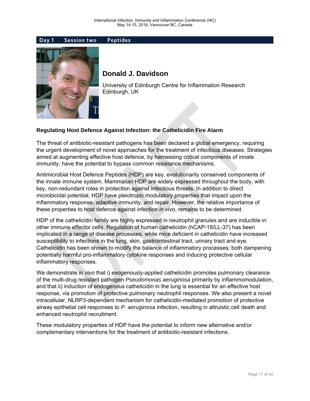

### **Donald J. Davidson**

University of Edinburgh Centre for Inflammation Research Edinburgh, UK

### **Regulating Host Defence Against Infection: the Cathelicidin Fire Alarm**

The threat of antibiotic-resistant pathogens has been declared a global emergency, requiring the urgent development of novel approaches for the treatment of infectious diseases. Strategies aimed at augmenting effective host defence, by harnessing critical components of innate immunity, have the potential to bypass common resistance mechanisms.

Antimicrobial Host Defence Peptides (HDP) are key, evolutionarily conserved components of the innate immune system. Mammalian HDP are widely expressed throughout the body, with key, non-redundant roles in protection against infectious threats. In addition to direct microbicidal potential, HDP have pleiotropic modulatory properties that impact upon the inflammatory response, adaptive immunity, and repair. However, the relative importance of these properties to host defence against infection *in vivo*, remains to be determined.

HDP of the cathelicidin family are highly expressed in neutrophil granules and are inducible in other immune effector cells. Regulation of human cathelicidin (hCAP-18/LL-37) has been implicated in a range of disease processes, while mice deficient in cathelicidin have increased susceptibility to infections in the lung, skin, gastrointestinal tract, urinary tract and eye. Cathelicidin has been shown to modify the balance of inflammatory processes; both dampening potentially harmful pro-inflammatory cytokine responses and inducing protective cellular inflammatory responses.

We demonstrate *in vivo* that i) exogenously-applied cathelicidin promotes pulmonary clearance of the multi-drug resistant pathogen *Pseudomonas aeruginosa* primarily by inflammomodulation, and that ii) induction of endogenous cathelicidin in the lung is essential for an effective host response, via promotion of protective pulmonary neutrophil responses. We also present a novel intracellular, NLRP3-dependent mechanism for cathelicidin-mediated promotion of protective airway epithelial cell responses to *P. aeruginosa* infection, resulting in altruistic cell death and enhanced neutrophil recruitment.

These modulatory properties of HDP have the potential to inform new alternative and/or complementary interventions for the treatment of antibiotic-resistant infections.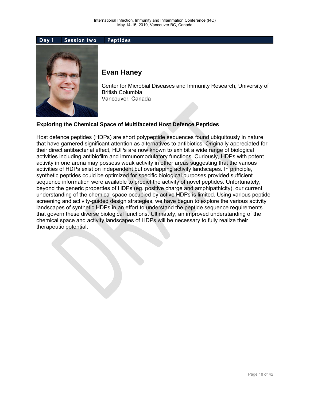### **Evan Haney**

Center for Microbial Diseases and Immunity Research, University of British Columbia Vancouver, Canada

### **Exploring the Chemical Space of Multifaceted Host Defence Peptides**

Host defence peptides (HDPs) are short polypeptide sequences found ubiquitously in nature that have garnered significant attention as alternatives to antibiotics. Originally appreciated for their direct antibacterial effect, HDPs are now known to exhibit a wide range of biological activities including antibiofilm and immunomodulatory functions. Curiously, HDPs with potent activity in one arena may possess weak activity in other areas suggesting that the various activities of HDPs exist on independent but overlapping activity landscapes. In principle, synthetic peptides could be optimized for specific biological purposes provided sufficient sequence information were available to predict the activity of novel peptides. Unfortunately, beyond the generic properties of HDPs (eg. positive charge and amphipathicity), our current understanding of the chemical space occupied by active HDPs is limited. Using various peptide screening and activity-guided design strategies, we have begun to explore the various activity landscapes of synthetic HDPs in an effort to understand the peptide sequence requirements that govern these diverse biological functions. Ultimately, an improved understanding of the chemical space and activity landscapes of HDPs will be necessary to fully realize their therapeutic potential.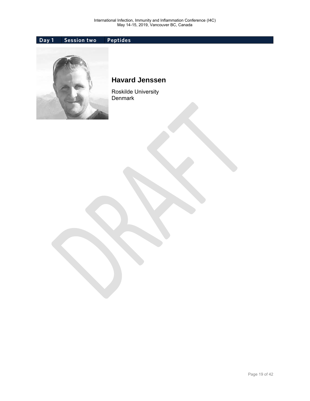

### **Havard Jenssen**

Roskilde University Denmark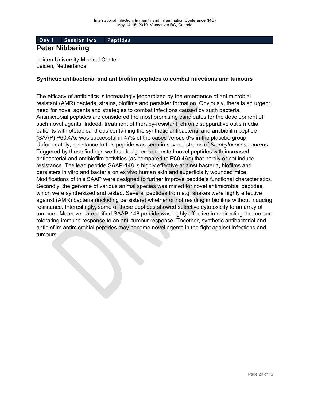### **Peter Nibbering**

Leiden University Medical Center Leiden, Netherlands

#### **Synthetic antibacterial and antibiofilm peptides to combat infections and tumours**

The efficacy of antibiotics is increasingly jeopardized by the emergence of antimicrobial resistant (AMR) bacterial strains, biofilms and persister formation. Obviously, there is an urgent need for novel agents and strategies to combat infections caused by such bacteria. Antimicrobial peptides are considered the most promising candidates for the development of such novel agents. Indeed, treatment of therapy-resistant, chronic suppurative otitis media patients with ototopical drops containing the synthetic antibacterial and antibiofilm peptide (SAAP) P60.4Ac was successful in 47% of the cases versus 6% in the placebo group. Unfortunately, resistance to this peptide was seen in several strains of *Staphylococcus aureus*. Triggered by these findings we first designed and tested novel peptides with increased antibacterial and antibiofilm activities (as compared to P60.4Ac) that hardly or not induce resistance. The lead peptide SAAP-148 is highly effective against bacteria, biofilms and persisters in vitro and bacteria on ex vivo human skin and superficially wounded mice. Modifications of this SAAP were designed to further improve peptide's functional characteristics. Secondly, the genome of various animal species was mined for novel antimicrobial peptides, which were synthesized and tested. Several peptides from e.g. snakes were highly effective against (AMR) bacteria (including persisters) whether or not residing in biofilms without inducing resistance. Interestingly, some of these peptides showed selective cytotoxicity to an array of tumours. Moreover, a modified SAAP-148 peptide was highly effective in redirecting the tumourtolerating immune response to an anti-tumour response. Together, synthetic antibacterial and antibiofilm antimicrobial peptides may become novel agents in the fight against infections and tumours.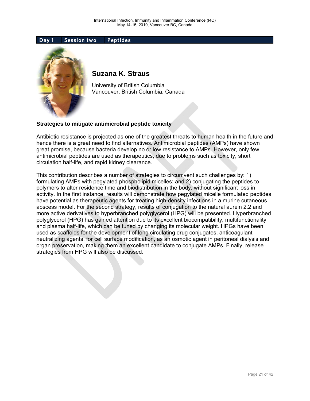

### **Suzana K. Straus**

University of British Columbia Vancouver, British Columbia, Canada

#### **Strategies to mitigate antimicrobial peptide toxicity**

Antibiotic resistance is projected as one of the greatest threats to human health in the future and hence there is a great need to find alternatives. Antimicrobial peptides (AMPs) have shown great promise, because bacteria develop no or low resistance to AMPs. However, only few antimicrobial peptides are used as therapeutics, due to problems such as toxicity, short circulation half-life, and rapid kidney clearance.

This contribution describes a number of strategies to circumvent such challenges by: 1) formulating AMPs with pegylated phospholipid micelles; and 2) conjugating the peptides to polymers to alter residence time and biodistribution in the body, without significant loss in activity. In the first instance, results will demonstrate how pegylated micelle formulated peptides have potential as therapeutic agents for treating high-density infections in a murine cutaneous abscess model. For the second strategy, results of conjugation to the natural aurein 2.2 and more active derivatives to hyperbranched polyglycerol (HPG) will be presented. Hyperbranched polyglycerol (HPG) has gained attention due to its excellent biocompatibility, multifunctionality and plasma half-life, which can be tuned by changing its molecular weight. HPGs have been used as scaffolds for the development of long circulating drug conjugates, anticoagulant neutralizing agents, for cell surface modification, as an osmotic agent in peritoneal dialysis and organ preservation, making them an excellent candidate to conjugate AMPs. Finally, release strategies from HPG will also be discussed.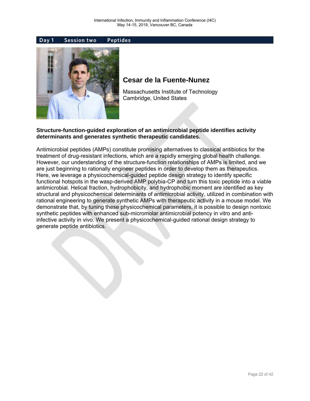

### **Cesar de la Fuente-Nunez**

Massachusetts Institute of Technology Cambridge, United States

#### **Structure-function-guided exploration of an antimicrobial peptide identifies activity determinants and generates synthetic therapeutic candidates.**

Antimicrobial peptides (AMPs) constitute promising alternatives to classical antibiotics for the treatment of drug-resistant infections, which are a rapidly emerging global health challenge. However, our understanding of the structure-function relationships of AMPs is limited, and we are just beginning to rationally engineer peptides in order to develop them as therapeutics. Here, we leverage a physicochemical-guided peptide design strategy to identify specific functional hotspots in the wasp-derived AMP polybia-CP and turn this toxic peptide into a viable antimicrobial. Helical fraction, hydrophobicity, and hydrophobic moment are identified as key structural and physicochemical determinants of antimicrobial activity, utilized in combination with rational engineering to generate synthetic AMPs with therapeutic activity in a mouse model. We demonstrate that, by tuning these physicochemical parameters, it is possible to design nontoxic synthetic peptides with enhanced sub-micromolar antimicrobial potency in vitro and antiinfective activity in vivo. We present a physicochemical-guided rational design strategy to generate peptide antibiotics.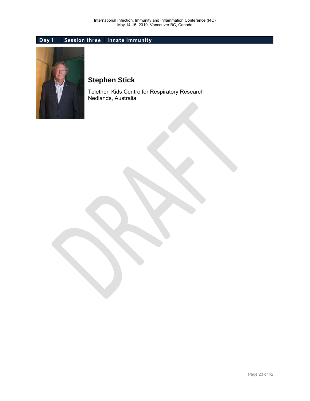### **Day 1 Session three Innate Immunity**



### **Stephen Stick**

Telethon Kids Centre for Respiratory Research Nedlands, Australia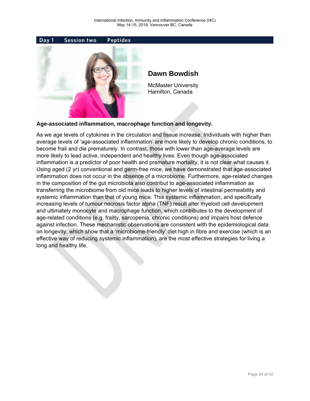

### **Dawn Bowdish**

McMaster University Hamilton, Canada

#### **Age-associated inflammation, macrophage function and longevity.**

As we age levels of cytokines in the circulation and tissue increase. Individuals with higher than average levels of 'age-associated inflammation' are more likely to develop chronic conditions, to become frail and die prematurely. In contrast, those with lower than age-average levels are more likely to lead active, independent and healthy lives. Even though age-associated inflammation is a predictor of poor health and premature mortality, it is not clear what causes it. Using aged (2 yr) conventional and germ-free mice, we have demonstrated that age-associated inflammation does not occur in the absence of a microbiome. Furthermore, age-related changes in the composition of the gut microbiota also contribut to age-associated inflammation as transferring the microbiome from old mice leads to higher levels of intestinal permeability and systemic inflammation than that of young mice. This systemic inflammation, and specifically increasing levels of tumour necrosis factor alpha (TNF) result alter myeloid cell development and ultimately monocyte and macrophage function, which contributes to the development of age-related conditions (e.g. frailty, sarcopenia, chronic conditions) and impairs host defence against infection. These mechanistic observations are consistent with the epidemiological data on longevity, which show that a 'microbiome-friendly' diet high in fibre and exercise (which is an effective way of reducing systemic inflammation), are the most effective strategies for living a long and healthy life.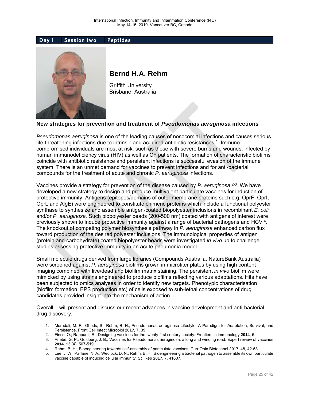

### **Bernd H.A. Rehm**

Griffith University Brisbane, Australia

#### **New strategies for prevention and treatment of** *Pseudomonas aeruginosa* **infections**

*Pseudomonas aeruginosa* is one of the leading causes of nosocomial infections and causes serious life-threatening infections due to intrinsic and acquired antibiotic resistances 1. Immunocompromised individuals are most at risk, such as those with severe burns and wounds, infected by human immunodeficiency virus (HIV) as well as CF patients. The formation of characteristic biofilms coincide with antibiotic resistance and persistent infections ie successful evasion of the immune system. There is an unmet demand for vaccines to prevent infections and for anti-bacterial compounds for the treatment of acute and chronic *P. aeruginosa* infections.

Vaccines provide a strategy for prevention of the disease caused by *P. aeruginosa* 2-3. We have developed a new strategy to design and produce multivalent particulate vaccines for induction of protective immunity. Antigens (epitopes/domains of outer membrane proteins such e.g. OprF, OprI, OprL and AlgE) were engineered to constitute chimeric proteins which include a functional polyester synthase to synthesize and assemble antigen-coated biopolyester inclusions in recombinant *E. coli* and/or *P. aeruginosa.* Such biopolyester beads (200-500 nm) coated with antigens of interest were previously shown to induce protective immunity against a range of bacterial pathogens and HCV 4. The knockout of competing polymer biosynthesis pathway in *P. aeruginosa* enhanced carbon flux toward production of the desired polyester inclusions. The immunological properties of antigen (protein and carbohydrate) coated biopolyester beads were investigated *in vivo* up to challenge studies assessing protective immunity in an acute pneumonia model.

Small molecule drugs derived from large libraries (Compounds Australia, NatureBank Australia) were screened against *P. aeruginosa* biofilms grown in microtiter plates by using high content imaging combined with live/dead and biofilm matrix staining. The persistent *in vivo* biofilm were mimicked by using strains engineered to produce biofilms reflecting various adaptations. Hits have been subjected to omics analyses in order to identify new targets. Phenotypic characterisation (biofilm formation, EPS production etc) of cells exposed to sub-lethal concentrations of drug candidates provided insight into the mechanism of action.

Overall, I will present and discuss our recent advances in vaccine development and anti-bacterial drug discovery.

- 1. Moradali, M. F.; Ghods, S.; Rehm, B. H., Pseudomonas aeruginosa Lifestyle: A Paradigm for Adaptation, Survival, and Persistence. Front Cell Infect Microbiol **2017**, 7, 39.
- 2. Finco, O.; Rappuoli, R., Designing vaccines for the twenty-first century society. Frontiers in immunology **2014**, 5.
- 3. Priebe, G. P.; Goldberg, J. B., Vaccines for Pseudomonas aeruginosa: a long and winding road. Expert review of vaccines **2014**, 13 (4), 507-519.
- 4. Rehm, B. H., Bioengineering towards self-assembly of particulate vaccines. Curr Opin Biotechnol **2017**, 48, 42-53.
- 5. Lee, J. W.; Parlane, N. A.; Wedlock, D. N.; Rehm, B. H., Bioengineering a bacterial pathogen to assemble its own particulate vaccine capable of inducing cellular immunity. Sci Rep **2017**, 7, 41607.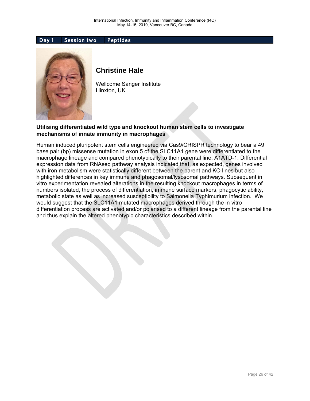

### **Christine Hale**

Wellcome Sanger Institute Hinxton, UK

### **Utilising differentiated wild type and knockout human stem cells to investigate mechanisms of innate immunity in macrophages**

Human induced pluripotent stem cells engineered via Cas9/CRISPR technology to bear a 49 base pair (bp) missense mutation in exon 5 of the SLC11A1 gene were differentiated to the macrophage lineage and compared phenotypically to their parental line, A1ATD-1. Differential expression data from RNAseq pathway analysis indicated that, as expected, genes involved with iron metabolism were statistically different between the parent and KO lines but also highlighted differences in key immune and phagosomal/lysosomal pathways. Subsequent in vitro experimentation revealed alterations in the resulting knockout macrophages in terms of numbers isolated, the process of differentiation, immune surface markers, phagocytic ability, metabolic state as well as increased susceptibility to Salmonella Typhimurium infection. We would suggest that the SLC11A1 mutated macrophages derived through the in vitro differentiation process are activated and/or polarised to a different lineage from the parental line and thus explain the altered phenotypic characteristics described within.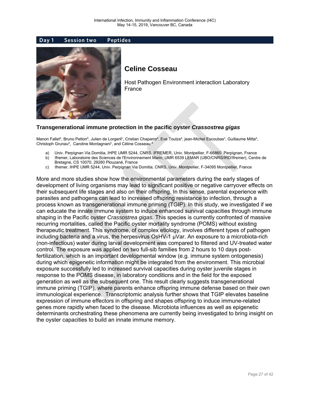



### **Celine Cosseau**

Host Pathogen Environment interaction Laboratory France

#### **Transgenerational immune protection in the pacific oyster** *Crassostrea gigas*

Manon Falletª, Bruno Petton<sup>b</sup>, Julien de Lorgeril<sup>c</sup>, Cristian Chaparroª, Eve Toulzaª, jean-Michel Escoubas<sup>c</sup>, Guillaume Mittaª, Christoph Grunau<sup>a</sup>, Caroline Montagnani<sup>c</sup>, and Céline Cosseau<sup>a</sup>

- a) Univ. Perpignan Via Domitia, IHPE UMR 5244, CNRS, IFREMER, Univ. Montpellier, F-66860 Perpignan, France
- b) Ifremer, Laboratoire des Sciences de l'Environnement Marin, UMR 6539 LEMAR (UBO/CNRS/IRD/Ifremer), Centre de Bretagne, CS 10070, 29280 Plouzané, France
- c) Ifremer, IHPE UMR 5244, Univ. Perpignan Via Domitia, CNRS, Univ. Montpellier, F-34095 Montpellier, France

More and more studies show how the environmental parameters during the early stages of development of living organisms may lead to significant positive or negative carryover effects on their subsequent life stages and also on their offspring. In this sense, parental experience with parasites and pathogens can lead to increased offspring resistance to infection, through a process known as transgenerational immune priming (TGIP). In this study, we investigated if we can educate the innate immune system to induce enhanced survival capacities through immune shaping in the Pacific oyster *Crassostrea gigas.* This species is currently confronted of massive recurring mortalities, called the Pacific oyster mortality syndrome (POMS) without existing therapeutic treatment. This syndrome, of complex etiology, involves different types of pathogen including bacteria and a virus, the herpesvirus OsHV-1 μVar. An exposure to a microbiota-rich (non-infectious) water during larval development was compared to filtered and UV-treated water control. The exposure was applied on two full-sib families from 2 hours to 10 days postfertilization, which is an important developmental window (e.g. immune system ontogenesis) during which epigenetic information might be integrated from the environment. This microbial exposure successfully led to increased survival capacities during oyster juvenile stages in response to the POMS disease, in laboratory conditions and in the field for the exposed generation as well as the subsequent one. This result clearly suggests transgenerational immune priming (TGIP), where parents enhance offspring immune defense based on their own immunological experience. Transcriptomic analysis further shows that TGIP elevates baseline expression of immune effectors in offspring and shapes offspring to induce immune-related genes more rapidly when faced to the disease. Microbiota influences as well as epigenetic determinants orchestrating these phenomena are currently being investigated to bring insight on the oyster capacities to build an innate immune memory.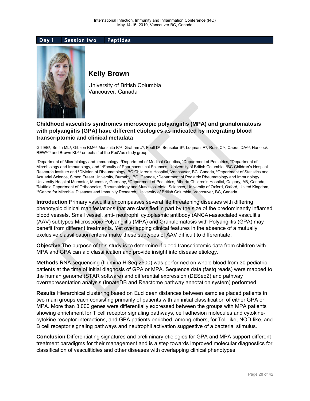

### **Kelly Brown**

University of British Columbia Vancouver, Canada

### **Childhood vasculitis syndromes microscopic polyangiitis (MPA) and granulomatosis with polyangiitis (GPA) have different etiologies as indicated by integrating blood transcriptomic and clinical metadata**

Gill EE<sup>1</sup>, Smith ML<sup>1</sup>, Gibson KM<sup>2,3,</sup> Morishita K<sup>4,5</sup>, Graham J<sup>6</sup>, Foell D<sup>7</sup>, Benseler S<sup>8</sup>, Luqmani R<sup>9</sup>, Ross C<sup>10</sup>, Cabral DA<sup>2,3</sup>, Hancock  $REW^{1,11}$  and Brown  $KL^{3,4}$  on behalf of the PedVas study group

<sup>1</sup>Department of Microbiology and Immunology, <sup>2</sup>Department of Medical Genetics, <sup>4</sup>Department of Pediatrics, <sup>6</sup>Department of Microbiology and Immunology, and <sup>10</sup>Faculty of Pharmaceutical Sciences, University of British Columbia, <sup>3</sup>BC Children's Hospital Research Institute and <sup>5</sup>Division of Rheumatology, BC Children's Hospital, Vancouver, BC, Canada, <sup>6</sup>Department of Statistics and Actuarial Science, Simon Fraser University, Burnaby, BC, Canada, <sup>7</sup>Department of Pediatric Rheumatology and Immunology, University Hospital Muenster, Muenster, Germany, <sup>8</sup>Department of Pediatrics, Alberta Children's Hospital, Calgary, AB, Canada,<br><sup>9</sup>Nuffield Department of Orthopedics, Pheumatology and Musculoskeletal Sciences, University o <sup>9</sup>Nuffield Department of Orthopedics, Rheumatology and Musculoskeletal Sciences, University of Oxford, Oxford, United Kingdom, <sup>11</sup>Centre for Microbial Diseases and Immunity Research, University of British Columbia, Vanco

**Introduction** Primary vasculitis encompasses several life threatening diseases with differing phenotypic clinical manifestations that are classified in part by the size of the predominantly inflamed blood vessels. Small vessel, anti- neutrophil cytoplasmic antibody (ANCA)-associated vasculitis (AAV) subtypes Microscopic Polyangiitis (MPA) and Granulomatosis with Polyangiitis (GPA) may benefit from different treatments. Yet overlapping clinical features in the absence of a mutually exclusive classification criteria make these subtypes of AAV difficult to differentiate.

**Objective** The purpose of this study is to determine if blood transcriptomic data from children with MPA and GPA can aid classification and provide insight into disease etiology.

**Methods** RNA sequencing (Illumina HiSeq 2500) was performed on whole blood from 30 pediatric patients at the time of initial diagnosis of GPA or MPA. Sequence data (fastq reads) were mapped to the human genome (STAR software) and differential expression (DESeq2) and pathway overrepresentation analysis (InnateDB and Reactome pathway annotation system) performed.

**Results** Hierarchical clustering based on Euclidean distances between samples placed patients in two main groups each consisting primarily of patients with an initial classification of either GPA or MPA. More than 3,000 genes were differentially expressed between the groups with MPA patients showing enrichment for T cell receptor signaling pathways, cell adhesion molecules and cytokinecytokine receptor interactions, and GPA patients enriched, among others, for Toll-like, NOD-like, and B cell receptor signaling pathways and neutrophil activation suggestive of a bacterial stimulus.

**Conclusion** Differentiating signatures and preliminary etiologies for GPA and MPA support different treatment paradigms for their management and is a step towards improved molecular diagnostics for classification of vasculitidies and other diseases with overlapping clinical phenotypes.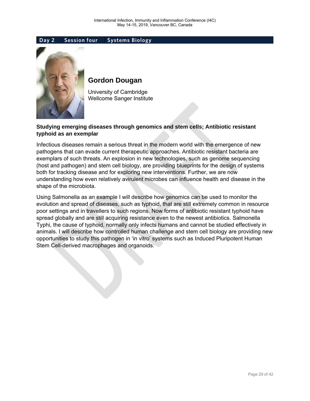

### **Gordon Dougan**

University of Cambridge Wellcome Sanger Institute

### **Studying emerging diseases through genomics and stem cells; Antibiotic resistant typhoid as an exemplar**

Infectious diseases remain a serious threat in the modern world with the emergence of new pathogens that can evade current therapeutic approaches. Antibiotic resistant bacteria are exemplars of such threats. An explosion in new technologies, such as genome sequencing (host and pathogen) and stem cell biology, are providing blueprints for the design of systems both for tracking disease and for exploring new interventions. Further, we are now understanding how even relatively avirulent microbes can influence health and disease in the shape of the microbiota.

Using Salmonella as an example I will describe how genomics can be used to monitor the evolution and spread of diseases, such as typhoid, that are still extremely common in resource poor settings and in travellers to such regions. Now forms of antibiotic resistant typhoid have spread globally and are still acquiring resistance even to the newest antibiotics. Salmonella Typhi, the cause of typhoid, normally only infects humans and cannot be studied effectively in animals. I will describe how controlled human challenge and stem cell biology are providing new opportunities to study this pathogen in 'in vitro' systems such as Induced Pluripotent Human Stem Cell-derived macrophages and organoids.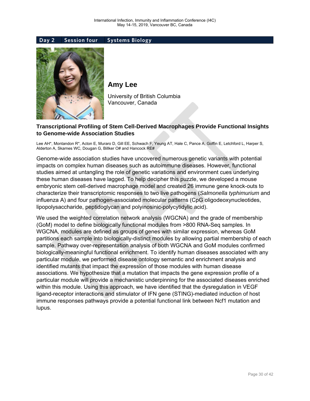

**Amy Lee** 

University of British Columbia Vancouver, Canada

### **Transcriptional Profiling of Stem Cell-Derived Macrophages Provide Functional Insights to Genome-wide Association Studies**

Lee AH\*, Montandon R\*, Acton E, Muraro D, Gill EE, Schwach F, Yeung AT, Hale C, Pance A, Goffin E, Letchford L, Harper S, Alderton A, Skarnes WC, Dougan G, Billker O# and Hancock RE#

Genome-wide association studies have uncovered numerous genetic variants with potential impacts on complex human diseases such as autoimmune diseases. However, functional studies aimed at untangling the role of genetic variations and environment cues underlying these human diseases have lagged. To help decipher this puzzle, we developed a mouse embryonic stem cell-derived macrophage model and created 26 immune gene knock-outs to characterize their transcriptomic responses to two live pathogens (*Salmonella typhimurium* and influenza A) and four pathogen-associated molecular patterns (CpG oligodeoxynucleotides, lipopolysaccharide, peptidoglycan and polyinosinic-polycytidylic acid).

We used the weighted correlation network analysis (WGCNA) and the grade of membership (GoM) model to define biologically functional modules from >800 RNA-Seq samples. In WGCNA, modules are defined as groups of genes with similar expression, whereas GoM partitions each sample into biologically-distinct modules by allowing partial membership of each sample. Pathway over-representation analysis of both WGCNA and GoM modules confirmed biologically-meaningful functional enrichment. To identify human diseases associated with any particular module, we performed disease ontology semantic and enrichment analysis and identified mutants that impact the expression of those modules with human disease associations. We hypothesize that a mutation that impacts the gene expression profile of a particular module will provide a mechanistic underpinning for the associated diseases enriched within this module. Using this approach, we have identified that the dysregulation in VEGF ligand-receptor interactions and stimulator of IFN gene (STING)-mediated induction of host immune responses pathways provide a potential functional link between Ncf1 mutation and lupus.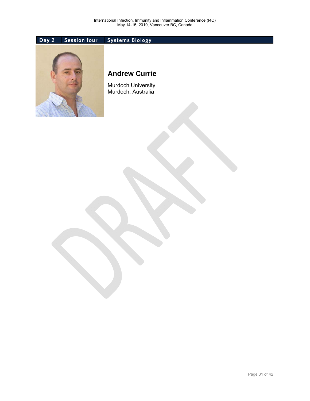

### **Andrew Currie**

Murdoch University Murdoch, Australia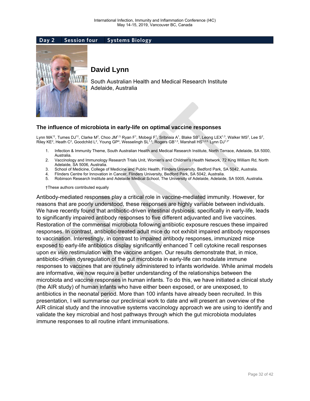

### **David Lynn**

South Australian Health and Medical Research Institute Adelaide, Australia

#### **The influence of microbiota in early-life on optimal vaccine responses**

Lynn MA<sup>1†</sup>, Tumes DJ<sup>1†</sup>, Clarke M², Choo JM<sup>1,3,</sup> Ryan F<sup>1</sup>, Mobegi F<sup>1</sup>, Sribnaia A<sup>1</sup>, Blake SB<sup>1</sup>, Leong LEX<sup>1,3</sup>, Walker MS<sup>2</sup>, Lee S<sup>2</sup>, Riley KE<sup>2</sup>, Heath C<sup>2</sup>, Goodchild L<sup>2</sup>, Young GP<sup>4</sup>, Wesselingh SL<sup>1,3</sup>, Rogers GB<sup>1,3</sup>, Marshall HS<sup>1,25,</sup> Lynn DJ<sup>1,3\*</sup>

- 1. Infection & Immunity Theme, South Australian Health and Medical Research Institute, North Terrace, Adelaide, SA 5000, Australia.
- 2. Vaccinology and Immunology Research Trials Unit, Women's and Children's Health Network, 72 King William Rd, North Adelaide, SA 5006, Australia.
- 3. School of Medicine, College of Medicine and Public Health, Flinders University, Bedford Park, SA 5042, Australia.
- 4. Flinders Centre for Innovation in Cancer, Flinders University, Bedford Park, SA 5042, Australia.
- 5. Robinson Research Institute and Adelaide Medical School, The University of Adelaide, Adelaide, SA 5005, Australia.

#### †These authors contributed equally

Antibody-mediated responses play a critical role in vaccine-mediated immunity. However, for reasons that are poorly understood, these responses are highly variable between individuals. We have recently found that antibiotic-driven intestinal dysbiosis, specifically in early-life, leads to significantly impaired antibody responses to five different adjuvanted and live vaccines. Restoration of the commensal microbiota following antibiotic exposure rescues these impaired responses. In contrast, antibiotic-treated adult mice do not exhibit impaired antibody responses to vaccination. Interestingly, in contrast to impaired antibody responses, immunized mice exposed to early-life antibiotics display significantly enhanced T cell cytokine recall responses upon *ex vivo* restimulation with the vaccine antigen. Our results demonstrate that, in mice, antibiotic-driven dysregulation of the gut microbiota in early-life can modulate immune responses to vaccines that are routinely administered to infants worldwide. While animal models are informative, we now require a better understanding of the relationships between the microbiota and vaccine responses in human infants. To do this, we have initiated a clinical study (the AIR study) of human infants who have either been exposed, or are unexposed, to antibiotics in the neonatal period. More than 100 infants have already been recruited. In this presentation, I will summarise our preclinical work to date and will present an overview of the AIR clinical study and the innovative systems vaccinology approach we are using to identify and validate the key microbial and host pathways through which the gut microbiota modulates immune responses to all routine infant immunisations.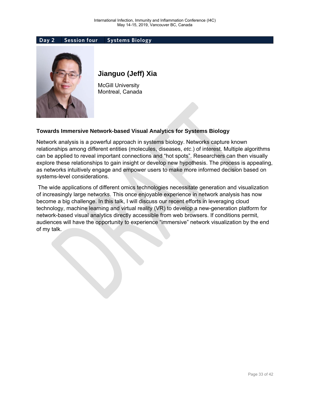

### **Jianguo (Jeff) Xia**

McGill University Montreal, Canada

### **Towards Immersive Network-based Visual Analytics for Systems Biology**

Network analysis is a powerful approach in systems biology. Networks capture known relationships among different entities (molecules, diseases, *etc*.) of interest. Multiple algorithms can be applied to reveal important connections and "hot spots". Researchers can then visually explore these relationships to gain insight or develop new hypothesis. The process is appealing, as networks intuitively engage and empower users to make more informed decision based on systems-level considerations.

 The wide applications of different omics technologies necessitate generation and visualization of increasingly large networks. This once enjoyable experience in network analysis has now become a big challenge. In this talk, I will discuss our recent efforts in leveraging cloud technology, machine learning and virtual reality (VR) to develop a new-generation platform for network-based visual analytics directly accessible from web browsers. If conditions permit, audiences will have the opportunity to experience "immersive" network visualization by the end of my talk.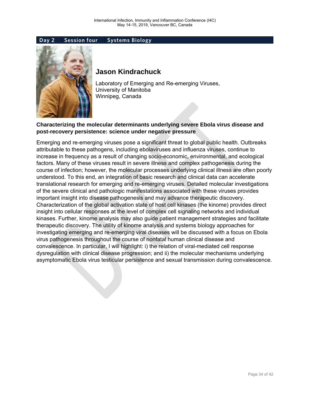

### **Jason Kindrachuck**

Laboratory of Emerging and Re-emerging Viruses, University of Manitoba Winnipeg, Canada

### **Characterizing the molecular determinants underlying severe Ebola virus disease and post-recovery persistence: science under negative pressure**

Emerging and re-emerging viruses pose a significant threat to global public health. Outbreaks attributable to these pathogens, including ebolaviruses and influenza viruses, continue to increase in frequency as a result of changing socio-economic, environmental, and ecological factors. Many of these viruses result in severe illness and complex pathogenesis during the course of infection; however, the molecular processes underlying clinical illness are often poorly understood. To this end, an integration of basic research and clinical data can accelerate translational research for emerging and re-emerging viruses. Detailed molecular investigations of the severe clinical and pathologic manifestations associated with these viruses provides important insight into disease pathogenesis and may advance therapeutic discovery. Characterization of the global activation state of host cell kinases (the kinome) provides direct insight into cellular responses at the level of complex cell signaling networks and individual kinases. Further, kinome analysis may also guide patient management strategies and facilitate therapeutic discovery. The utility of kinome analysis and systems biology approaches for investigating emerging and re-emerging viral diseases will be discussed with a focus on Ebola virus pathogenesis throughout the course of nonfatal human clinical disease and convalescence. In particular, I will highlight: i) the relation of viral-mediated cell response dysregulation with clinical disease progression; and ii) the molecular mechanisms underlying asymptomatic Ebola virus testicular persistence and sexual transmission during convalescence.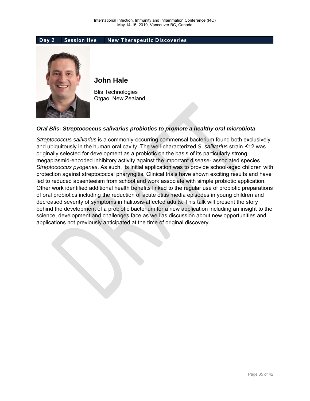#### **Day 2 Session five New Therapeutic Discoveries**



### **John Hale**

Blis Technologies Otgao, New Zealand

#### *Oral Blis- Streptococcus salivarius probiotics to promote a healthy oral microbiota*

*Streptococcus salivarius* is a commonly-occurring commensal bacterium found both exclusively and ubiquitously in the human oral cavity. The well-characterized *S. salivarius* strain K12 was originally selected for development as a probiotic on the basis of its particularly strong, megaplasmid-encoded inhibitory activity against the important disease- associated species *Streptococcus pyogenes*. As such, its initial application was to provide school-aged children with protection against streptococcal pharyngitis. Clinical trials have shown exciting results and have led to reduced absenteeism from school and work associate with simple probiotic application. Other work identified additional health benefits linked to the regular use of probiotic preparations of oral probiotics including the reduction of acute otitis media episodes in young children and decreased severity of symptoms in halitosis-affected adults. This talk will present the story behind the development of a probiotic bacterium for a new application including an insight to the science, development and challenges face as well as discussion about new opportunities and applications not previously anticipated at the time of original discovery.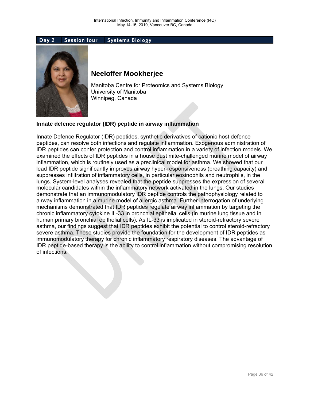

### **Neeloffer Mookherjee**

Manitoba Centre for Proteomics and Systems Biology University of Manitoba Winnipeg, Canada

#### **Innate defence regulator (IDR) peptide in airway inflammation**

Innate Defence Regulator (IDR) peptides, synthetic derivatives of cationic host defence peptides, can resolve both infections and regulate inflammation. Exogenous administration of IDR peptides can confer protection and control inflammation in a variety of infection models. We examined the effects of IDR peptides in a house dust mite-challenged murine model of airway inflammation, which is routinely used as a preclinical model for asthma. We showed that our lead IDR peptide significantly improves airway hyper-responsiveness (breathing capacity) and suppresses infiltration of inflammatory cells, in particular eosinophils and neutrophils, in the lungs. System-level analyses revealed that the peptide suppresses the expression of several molecular candidates within the inflammatory network activated in the lungs. Our studies demonstrate that an immunomodulatory IDR peptide controls the pathophysiology related to airway inflammation in a murine model of allergic asthma. Further interrogation of underlying mechanisms demonstrated that IDR peptides regulate airway inflammation by targeting the chronic inflammatory cytokine IL-33 in bronchial epithelial cells (in murine lung tissue and in human primary bronchial epithelial cells). As IL-33 is implicated in steroid-refractory severe asthma, our findings suggest that IDR peptides exhibit the potential to control steroid-refractory severe asthma. These studies provide the foundation for the development of IDR peptides as immunomodulatory therapy for chronic inflammatory respiratory diseases. The advantage of IDR peptide-based therapy is the ability to control inflammation without compromising resolution of infections.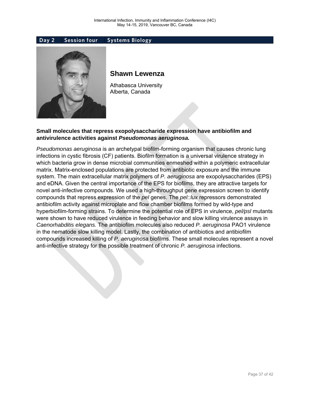

### **Shawn Lewenza**

Athabasca University Alberta, Canada

### **Small molecules that repress exopolysaccharide expression have antibiofilm and antivirulence activities against** *Pseudomonas aeruginosa.*

*Pseudomonas aeruginosa* is an archetypal biofilm-forming organism that causes chronic lung infections in cystic fibrosis (CF) patients. Biofilm formation is a universal virulence strategy in which bacteria grow in dense microbial communities enmeshed within a polymeric extracellular matrix. Matrix-enclosed populations are protected from antibiotic exposure and the immune system. The main extracellular matrix polymers of *P. aeruginosa* are exopolysaccharides (EPS) and eDNA. Given the central importance of the EPS for biofilms, they are attractive targets for novel anti-infective compounds. We used a high-throughput gene expression screen to identify compounds that repress expression of the *pel* genes. The *pel::lux* repressors demonstrated antibiofilm activity against microplate and flow chamber biofilms formed by wild-type and hyperbiofilm-forming strains. To determine the potential role of EPS in virulence, *pel/psl* mutants were shown to have reduced virulence in feeding behavior and slow killing virulence assays in *Caenorhabditis elegans.* The antibiofilm molecules also reduced *P. aeruginosa* PAO1 virulence in the nematode slow killing model. Lastly, the combination of antibiotics and antibiofilm compounds increased killing of *P. aeruginosa* biofilms. These small molecules represent a novel anti-infective strategy for the possible treatment of chronic *P. aeruginosa* infections.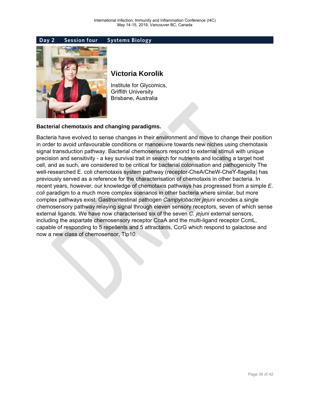

### **Victoria Korolik**

Institute for Glycomics, Griffith University Brisbane, Australia

#### **Bacterial chemotaxis and changing paradigms.**

Bacteria have evolved to sense changes in their environment and move to change their position in order to avoid unfavourable conditions or manoeuvre towards new niches using chemotaxis signal transduction pathway. Bacterial chemosensors respond to external stimuli with unique precision and sensitivity - a key survival trait in search for nutrients and locating a target host cell, and as such, are considered to be critical for bacterial colonisation and pathogenicity The well-researched E. coli chemotaxis system pathway (receptor-CheA/CheW-CheY-flagella) has previously served as a reference for the characterisation of chemotaxis in other bacteria. In recent years, however, our knowledge of chemotaxis pathways has progressed from a simple *E. coli* paradigm to a much more complex scenarios in other bacteria where similar, but more complex pathways exist. Gastrointestinal pathogen *Campylobacter jejuni* encodes a single chemosensory pathway relaying signal through eleven sensory receptors, seven of which sense external ligands. We have now characterised six of the seven *C. jejuni* external sensors, including the aspartate chemosensory receptor CcaA and the multi-ligand receptor CcmL, capable of responding to 5 repellents and 5 attractants, CcrG which respond to galactose and now a new class of chemosensor, Tlp10.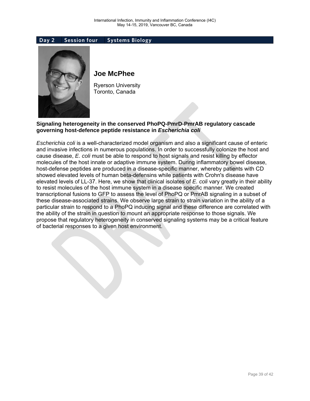

### **Joe McPhee**

Ryerson University Toronto, Canada

#### **Signaling heterogeneity in the conserved PhoPQ-PmrD-PmrAB regulatory cascade governing host-defence peptide resistance in** *Escherichia coli*

*Escherichia coli* is a well-characterized model organism and also a significant cause of enteric and invasive infections in numerous populations. In order to successfully colonize the host and cause disease, *E. coli* must be able to respond to host signals and resist killing by effector molecules of the host innate or adaptive immune system. During inflammatory bowel disease, host-defense peptides are produced in a disease-specific manner, whereby patients with CD showed elevated levels of human beta-defensins while patients with Crohn's disease have elevated levels of LL-37. Here, we show that clinical isolates of *E. coli* vary greatly in their ability to resist molecules of the host immune system in a disease specific manner. We created transcriptional fusions to GFP to assess the level of PhoPQ or PmrAB signaling in a subset of these disease-associated strains. We observe large strain to strain variation in the ability of a particular strain to respond to a PhoPQ inducing signal and these difference are correlated with the ability of the strain in question to mount an appropriate response to those signals. We propose that regulatory heterogeneity in conserved signaling systems may be a critical feature of bacterial responses to a given host environment.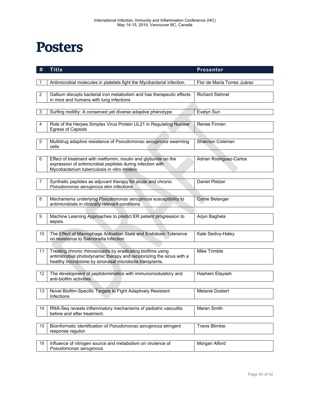## **Posters**

| #               | <b>Title</b>                                                                                                                          | Presenter                      |  |  |
|-----------------|---------------------------------------------------------------------------------------------------------------------------------------|--------------------------------|--|--|
|                 |                                                                                                                                       |                                |  |  |
|                 | Flor de María Torres Juárez<br>Antimicrobial molecules in platelets fight the Mycibacterial infection.                                |                                |  |  |
| 2               | Gallium disrupts bacterial iron metabolism and has therapeutic effects                                                                | <b>Richard Siehnel</b>         |  |  |
|                 | in mice and humans with lung infections                                                                                               |                                |  |  |
|                 |                                                                                                                                       |                                |  |  |
| 3               | Surfing motility: A conserved yet diverse adaptive phenotype                                                                          | Evelyn Sun                     |  |  |
| 4               | Role of the Herpes Simplex Virus Protein UL21 in Regulating Nuclear                                                                   | Renee Finnen                   |  |  |
|                 | <b>Egress of Capsids</b>                                                                                                              |                                |  |  |
|                 |                                                                                                                                       |                                |  |  |
| 5               | Multidrug adaptive resistance of Pseudomonas aeruginosa swarming<br>cells                                                             | Shannon Coleman                |  |  |
|                 |                                                                                                                                       |                                |  |  |
| 6               | Effect of treatment with metformin, insulin and glyburide on the                                                                      | <b>Adrian Rodriguez-Carlos</b> |  |  |
|                 | expression of antimicrobial peptides during infection with<br>Mycobacterium tuberculosis in vitro models.                             |                                |  |  |
|                 |                                                                                                                                       |                                |  |  |
|                 | Synthetic peptides as adjuvant therapy for acute and chronic                                                                          | Daniel Pletzer                 |  |  |
|                 | Pseudomonas aeruginosa skin infections                                                                                                |                                |  |  |
| 8               | Mechanisms underlying Pseudomonas aeruginosa susceptibility to                                                                        | Corrie Belanger                |  |  |
|                 | antimicrobials in clinically relevant conditions                                                                                      |                                |  |  |
|                 |                                                                                                                                       |                                |  |  |
| 9               | Machine Learning Approaches to predict ER patient progression to                                                                      | Arjun Baghela                  |  |  |
|                 | sepsis.                                                                                                                               |                                |  |  |
| 10              | The Effect of Macrophage Activation State and Endotoxin Tolerance                                                                     | Kate Sedivy-Haley              |  |  |
|                 | on resistance to Salmonella Infection                                                                                                 |                                |  |  |
|                 |                                                                                                                                       |                                |  |  |
| 11              | Treating chronic rhinosinusitis by eradicating biofilms using<br>antimicrobial photodynamic therapy and recolonizing the sinus with a | Mike Trimble                   |  |  |
|                 | healthy microbiome by sinonasal microbiota transplants.                                                                               |                                |  |  |
|                 |                                                                                                                                       |                                |  |  |
| 12              | The development of peptidomimetics with immunomodulatory and<br>anti-biofilm activities.                                              | Hashem Etayash                 |  |  |
|                 |                                                                                                                                       |                                |  |  |
| 13 <sup>°</sup> | Novel Biofilm-Specific Targets to Fight Adaptively Resistant                                                                          | Melanie Dostert                |  |  |
|                 | Infections                                                                                                                            |                                |  |  |
| 14              | RNA-Seq reveals inflammatory mechanisms of pediatric vasculitis                                                                       | Maren Smith                    |  |  |
|                 | before and after treatment.                                                                                                           |                                |  |  |
|                 |                                                                                                                                       |                                |  |  |
| 15              | Bioinformatic identification of Pseudomonas aeruginosa stringent<br>response regulon                                                  | <b>Travis Blimkie</b>          |  |  |
|                 |                                                                                                                                       |                                |  |  |
| 16              | Influence of nitrogen source and metabolism on virulence of                                                                           | Morgan Alford                  |  |  |
|                 | Pseudomonas aeruginosa                                                                                                                |                                |  |  |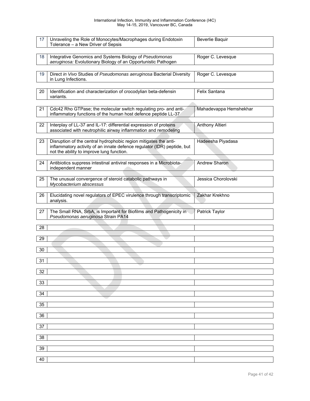#### International Infection, Immunity and Inflammation Conference (I4C) May 14-15, 2019, Vancouver BC, Canada

| 17              | Unraveling the Role of Monocytes/Macrophages during Endotoxin<br>Tolerance - a New Driver of Sepsis                                  | Beverlie Baquir        |
|-----------------|--------------------------------------------------------------------------------------------------------------------------------------|------------------------|
|                 |                                                                                                                                      |                        |
| 18              | Integrative Genomics and Systems Biology of Pseudomonas<br>aeruginosa: Evolutionary Biology of an Opportunistic Pathogen             | Roger C. Levesque      |
|                 |                                                                                                                                      |                        |
| 19              | Direct in Vivo Studies of Pseudomonas aeruginosa Bacterial Diversity                                                                 | Roger C. Levesque      |
|                 | in Lung Infections.                                                                                                                  |                        |
|                 |                                                                                                                                      |                        |
| 20              | Identification and characterization of crocodylian beta-defensin                                                                     | Felix Santana          |
|                 | variants.                                                                                                                            |                        |
|                 |                                                                                                                                      |                        |
| 21              | Cdc42 Rho GTPase; the molecular switch regulating pro- and anti-                                                                     | Mahadevappa Hemshekhar |
|                 | inflammatory functions of the human host defence peptide LL-37                                                                       |                        |
|                 |                                                                                                                                      |                        |
| 22              | Interplay of LL-37 and IL-17: differential expression of proteins<br>associated with neutrophilic airway inflammation and remodeling | Anthony Altieri        |
|                 |                                                                                                                                      |                        |
| 23              | Disruption of the central hydrophobic region mitigates the anti-                                                                     | Hadeesha Piyadasa      |
|                 | inflammatory activity of an innate defence regulator (IDR) peptide, but                                                              |                        |
|                 | not the ability to improve lung function.                                                                                            |                        |
|                 |                                                                                                                                      |                        |
| 24              | Antibiotics suppress intestinal antiviral responses in a Microbiota-                                                                 | Andrew Sharon          |
|                 | independent manner                                                                                                                   |                        |
|                 |                                                                                                                                      |                        |
| 25              | The unusual convergence of steroid catabolic pathways in<br>Mycobacterium abscessus                                                  | Jessica Chorolovski    |
|                 |                                                                                                                                      |                        |
| 26              | Elucidating novel regulators of EPEC virulence through transcriptomic                                                                | Zakhar Krekhno         |
|                 | analysis.                                                                                                                            |                        |
|                 |                                                                                                                                      |                        |
| 27              | The Small RNA, SrbA, is Important for Biofilms and Pathogenicity in                                                                  | Patrick Taylor         |
|                 | Pseudomonas aeruginosa Strain PA14                                                                                                   |                        |
|                 |                                                                                                                                      |                        |
| 28              |                                                                                                                                      |                        |
| 29              |                                                                                                                                      |                        |
|                 |                                                                                                                                      |                        |
| 30              |                                                                                                                                      |                        |
|                 |                                                                                                                                      |                        |
| 31              |                                                                                                                                      |                        |
|                 |                                                                                                                                      |                        |
| 32              |                                                                                                                                      |                        |
|                 |                                                                                                                                      |                        |
| 33              |                                                                                                                                      |                        |
| 34              |                                                                                                                                      |                        |
|                 |                                                                                                                                      |                        |
| 35              |                                                                                                                                      |                        |
|                 |                                                                                                                                      |                        |
| 36              |                                                                                                                                      |                        |
|                 |                                                                                                                                      |                        |
| 37              |                                                                                                                                      |                        |
|                 |                                                                                                                                      |                        |
| $\overline{38}$ |                                                                                                                                      |                        |
| 39              |                                                                                                                                      |                        |
|                 |                                                                                                                                      |                        |
| 40              |                                                                                                                                      |                        |
|                 |                                                                                                                                      |                        |